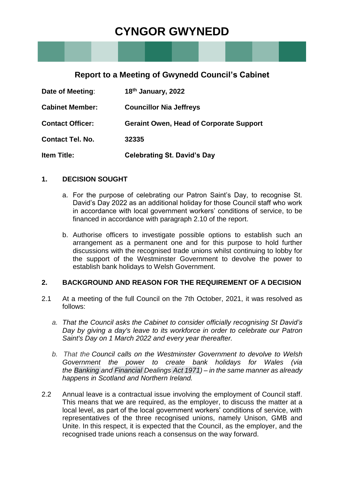# **CYNGOR GWYNEDD**

# **Report to a Meeting of Gwynedd Council's Cabinet**

| Date of Meeting:        | 18 <sup>th</sup> January, 2022                 |
|-------------------------|------------------------------------------------|
| <b>Cabinet Member:</b>  | <b>Councillor Nia Jeffreys</b>                 |
| <b>Contact Officer:</b> | <b>Geraint Owen, Head of Corporate Support</b> |
| <b>Contact Tel. No.</b> | 32335                                          |
| <b>Item Title:</b>      | <b>Celebrating St. David's Day</b>             |

### **1. DECISION SOUGHT**

- a. For the purpose of celebrating our Patron Saint's Day, to recognise St. David's Day 2022 as an additional holiday for those Council staff who work in accordance with local government workers' conditions of service, to be financed in accordance with paragraph 2.10 of the report.
- b. Authorise officers to investigate possible options to establish such an arrangement as a permanent one and for this purpose to hold further discussions with the recognised trade unions whilst continuing to lobby for the support of the Westminster Government to devolve the power to establish bank holidays to Welsh Government.

## **2. BACKGROUND AND REASON FOR THE REQUIREMENT OF A DECISION**

- 2.1 At a meeting of the full Council on the 7th October, 2021, it was resolved as follows:
	- *a. That the Council asks the Cabinet to consider officially recognising St David's Day by giving a day's leave to its workforce in order to celebrate our Patron Saint's Day on 1 March 2022 and every year thereafter.*
	- *b. That the Council calls on the Westminster Government to devolve to Welsh Government the power to create bank holidays for Wales (via the Banking and [Financial](https://www.legislation.gov.uk/ukpga/1971/80/contents%22%20/t%20%22_blank) Dealings Act 1971) – in the same manner as already happens in Scotland and Northern Ireland.*
- 2.2 Annual leave is a contractual issue involving the employment of Council staff. This means that we are required, as the employer, to discuss the matter at a local level, as part of the local government workers' conditions of service, with representatives of the three recognised unions, namely Unison, GMB and Unite. In this respect, it is expected that the Council, as the employer, and the recognised trade unions reach a consensus on the way forward.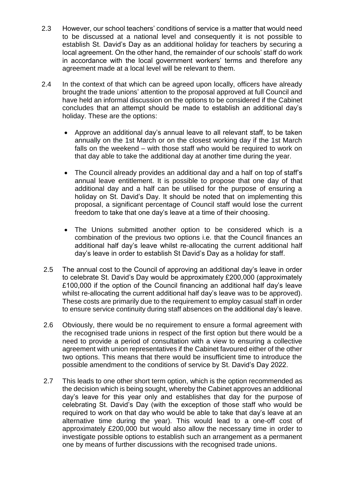- 2.3 However, our school teachers' conditions of service is a matter that would need to be discussed at a national level and consequently it is not possible to establish St. David's Day as an additional holiday for teachers by securing a local agreement. On the other hand, the remainder of our schools' staff do work in accordance with the local government workers' terms and therefore any agreement made at a local level will be relevant to them.
- 2.4 In the context of that which can be agreed upon locally, officers have already brought the trade unions' attention to the proposal approved at full Council and have held an informal discussion on the options to be considered if the Cabinet concludes that an attempt should be made to establish an additional day's holiday. These are the options:
	- Approve an additional day's annual leave to all relevant staff, to be taken annually on the 1st March or on the closest working day if the 1st March falls on the weekend – with those staff who would be required to work on that day able to take the additional day at another time during the year.
	- The Council already provides an additional day and a half on top of staff's annual leave entitlement. It is possible to propose that one day of that additional day and a half can be utilised for the purpose of ensuring a holiday on St. David's Day. It should be noted that on implementing this proposal, a significant percentage of Council staff would lose the current freedom to take that one day's leave at a time of their choosing.
	- The Unions submitted another option to be considered which is a combination of the previous two options i.e. that the Council finances an additional half day's leave whilst re-allocating the current additional half day's leave in order to establish St David's Day as a holiday for staff.
- 2.5 The annual cost to the Council of approving an additional day's leave in order to celebrate St. David's Day would be approximately £200,000 (approximately £100,000 if the option of the Council financing an additional half day's leave whilst re-allocating the current additional half day's leave was to be approved). These costs are primarily due to the requirement to employ casual staff in order to ensure service continuity during staff absences on the additional day's leave.
- 2.6 Obviously, there would be no requirement to ensure a formal agreement with the recognised trade unions in respect of the first option but there would be a need to provide a period of consultation with a view to ensuring a collective agreement with union representatives if the Cabinet favoured either of the other two options. This means that there would be insufficient time to introduce the possible amendment to the conditions of service by St. David's Day 2022.
- 2.7 This leads to one other short term option, which is the option recommended as the decision which is being sought, whereby the Cabinet approves an additional day's leave for this year only and establishes that day for the purpose of celebrating St. David's Day (with the exception of those staff who would be required to work on that day who would be able to take that day's leave at an alternative time during the year). This would lead to a one-off cost of approximately £200,000 but would also allow the necessary time in order to investigate possible options to establish such an arrangement as a permanent one by means of further discussions with the recognised trade unions.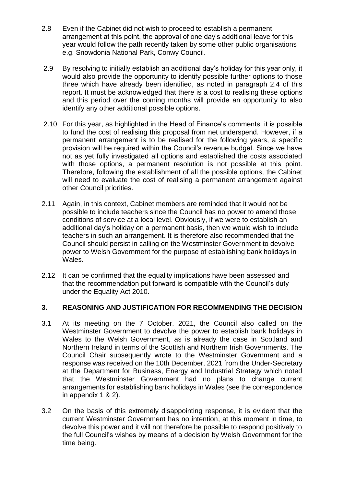- 2.8 Even if the Cabinet did not wish to proceed to establish a permanent arrangement at this point, the approval of one day's additional leave for this year would follow the path recently taken by some other public organisations e.g. Snowdonia National Park, Conwy Council.
- 2.9 By resolving to initially establish an additional day's holiday for this year only, it would also provide the opportunity to identify possible further options to those three which have already been identified, as noted in paragraph 2.4 of this report. It must be acknowledged that there is a cost to realising these options and this period over the coming months will provide an opportunity to also identify any other additional possible options.
- 2.10 For this year, as highlighted in the Head of Finance's comments, it is possible to fund the cost of realising this proposal from net underspend. However, if a permanent arrangement is to be realised for the following years, a specific provision will be required within the Council's revenue budget. Since we have not as yet fully investigated all options and established the costs associated with those options, a permanent resolution is not possible at this point. Therefore, following the establishment of all the possible options, the Cabinet will need to evaluate the cost of realising a permanent arrangement against other Council priorities.
- 2.11 Again, in this context, Cabinet members are reminded that it would not be possible to include teachers since the Council has no power to amend those conditions of service at a local level. Obviously, if we were to establish an additional day's holiday on a permanent basis, then we would wish to include teachers in such an arrangement. It is therefore also recommended that the Council should persist in calling on the Westminster Government to devolve power to Welsh Government for the purpose of establishing bank holidays in Wales.
- 2.12 It can be confirmed that the equality implications have been assessed and that the recommendation put forward is compatible with the Council's duty under the Equality Act 2010.

# **3. REASONING AND JUSTIFICATION FOR RECOMMENDING THE DECISION**

- 3.1 At its meeting on the 7 October, 2021, the Council also called on the Westminster Government to devolve the power to establish bank holidays in Wales to the Welsh Government, as is already the case in Scotland and Northern Ireland in terms of the Scottish and Northern Irish Governments. The Council Chair subsequently wrote to the Westminster Government and a response was received on the 10th December, 2021 from the Under-Secretary at the Department for Business, Energy and Industrial Strategy which noted that the Westminster Government had no plans to change current arrangements for establishing bank holidays in Wales (see the correspondence in appendix 1 & 2).
- 3.2 On the basis of this extremely disappointing response, it is evident that the current Westminster Government has no intention, at this moment in time, to devolve this power and it will not therefore be possible to respond positively to the full Council's wishes by means of a decision by Welsh Government for the time being.